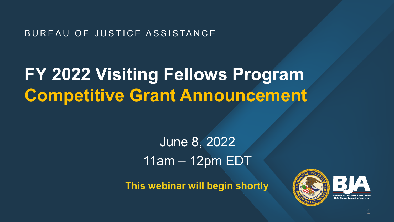### BUREAU OF JUSTICE ASSISTANCE

# **FY 2022 Visiting Fellows Program Competitive Grant Announcement**

## June 8, 2022 11am – 12pm EDT

**This webinar will begin shortly**

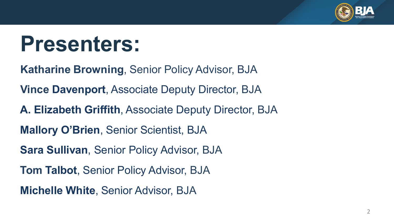

# **Presenters:**

**Katharine Browning**, Senior Policy Advisor, BJA

**Vince Davenport**, Associate Deputy Director, BJA

**A. Elizabeth Griffith**, Associate Deputy Director, BJA

**Mallory O'Brien**, Senior Scientist, BJA

**Sara Sullivan**, Senior Policy Advisor, BJA

**Tom Talbot**, Senior Policy Advisor, BJA

**Michelle White**, Senior Advisor, BJA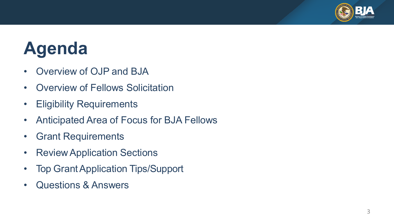

# **Agenda**

- Overview of OJP and BJA
- Overview of Fellows Solicitation
- Eligibility Requirements
- Anticipated Area of Focus for BJA Fellows
- Grant Requirements
- Review Application Sections
- Top Grant Application Tips/Support
- Questions & Answers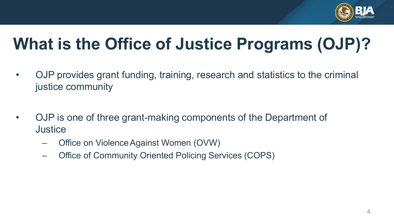

# **What is the Office of Justice Programs (OJP)?**

- OJP provides grant funding, training, research and statistics to the criminal justice community
- OJP is one of three grant-making components of the Department of **Justice** 
	- Office on ViolenceAgainst Women (OVW)
	- Office of Community Oriented Policing Services (COPS)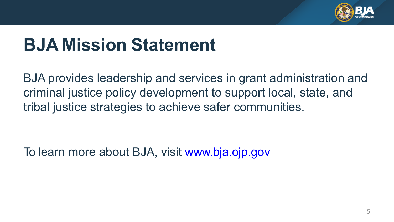

# **BJA Mission Statement**

BJA provides leadership and services in grant administration and criminal justice policy development to support local, state, and tribal justice strategies to achieve safer communities.

To learn more about BJA, visit [www.bja.ojp.gov](http://www.bja.gov/)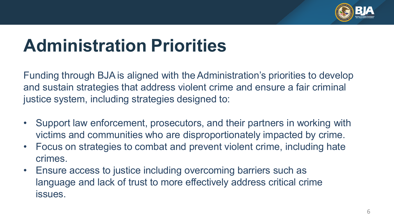

# **Administration Priorities**

Funding through BJAis aligned with theAdministration's priorities to develop and sustain strategies that address violent crime and ensure a fair criminal justice system, including strategies designed to:

- Support law enforcement, prosecutors, and their partners in working with victims and communities who are disproportionately impacted by crime.
- Focus on strategies to combat and prevent violent crime, including hate crimes.
- Ensure access to justice including overcoming barriers such as language and lack of trust to more effectively address critical crime issues.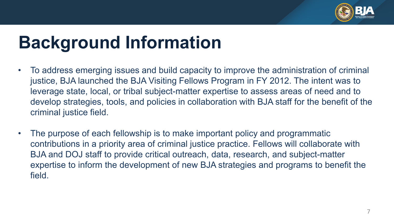

# **Background Information**

- To address emerging issues and build capacity to improve the administration of criminal justice, BJA launched the BJA Visiting Fellows Program in FY 2012. The intent was to leverage state, local, or tribal subject-matter expertise to assess areas of need and to develop strategies, tools, and policies in collaboration with BJA staff for the benefit of the criminal justice field.
- The purpose of each fellowship is to make important policy and programmatic contributions in a priority area of criminal justice practice. Fellows will collaborate with BJA and DOJ staff to provide critical outreach, data, research, and subject-matter expertise to inform the development of new BJA strategies and programs to benefit the field.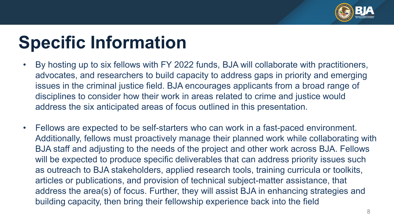

# **Specific Information**

- By hosting up to six fellows with FY 2022 funds, BJA will collaborate with practitioners, advocates, and researchers to build capacity to address gaps in priority and emerging issues in the criminal justice field. BJA encourages applicants from a broad range of disciplines to consider how their work in areas related to crime and justice would address the six anticipated areas of focus outlined in this presentation.
- Fellows are expected to be self-starters who can work in a fast-paced environment. Additionally, fellows must proactively manage their planned work while collaborating with BJA staff and adjusting to the needs of the project and other work across BJA. Fellows will be expected to produce specific deliverables that can address priority issues such as outreach to BJA stakeholders, applied research tools, training curricula or toolkits, articles or publications, and provision of technical subject-matter assistance, that address the area(s) of focus. Further, they will assist BJA in enhancing strategies and building capacity, then bring their fellowship experience back into the field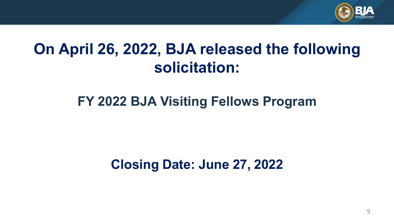

## **On April 26, 2022, BJA released the following solicitation:**

### **FY 2022 BJA Visiting Fellows Program**

### **Closing Date: June 27, 2022**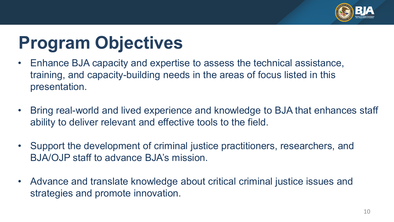

# **Program Objectives**

- Enhance BJA capacity and expertise to assess the technical assistance, training, and capacity-building needs in the areas of focus listed in this presentation.
- Bring real-world and lived experience and knowledge to BJA that enhances staff ability to deliver relevant and effective tools to the field.
- Support the development of criminal justice practitioners, researchers, and BJA/OJP staff to advance BJA's mission.
- Advance and translate knowledge about critical criminal justice issues and strategies and promote innovation.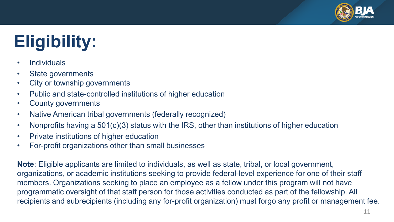

# **Eligibility:**

- Individuals
- State governments
- City or township governments
- Public and state-controlled institutions of higher education
- County governments
- Native American tribal governments (federally recognized)
- Nonprofits having a 501(c)(3) status with the IRS, other than institutions of higher education
- Private institutions of higher education
- For-profit organizations other than small businesses

**Note**: Eligible applicants are limited to individuals, as well as state, tribal, or local government, organizations, or academic institutions seeking to provide federal-level experience for one of their staff members. Organizations seeking to place an employee as a fellow under this program will not have programmatic oversight of that staff person for those activities conducted as part of the fellowship. All recipients and subrecipients (including any for-profit organization) must forgo any profit or management fee.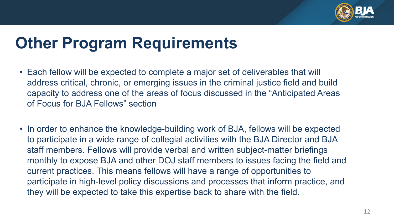

## **Other Program Requirements**

- Each fellow will be expected to complete a major set of deliverables that will address critical, chronic, or emerging issues in the criminal justice field and build capacity to address one of the areas of focus discussed in the "Anticipated Areas of Focus for BJA Fellows" section
- In order to enhance the knowledge-building work of BJA, fellows will be expected to participate in a wide range of collegial activities with the BJA Director and BJA staff members. Fellows will provide verbal and written subject-matter briefings monthly to expose BJA and other DOJ staff members to issues facing the field and current practices. This means fellows will have a range of opportunities to participate in high-level policy discussions and processes that inform practice, and they will be expected to take this expertise back to share with the field.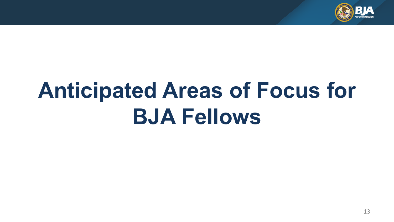

# **Anticipated Areas of Focus for BJA Fellows**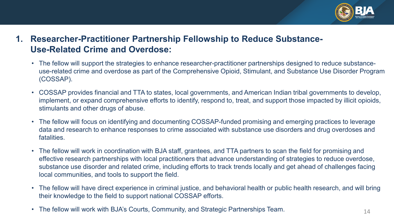

### **1. Researcher-Practitioner Partnership Fellowship to Reduce Substance-Use-Related Crime and Overdose:**

- The fellow will support the strategies to enhance researcher-practitioner partnerships designed to reduce substanceuse-related crime and overdose as part of the Comprehensive Opioid, Stimulant, and Substance Use Disorder Program (COSSAP).
- COSSAP provides financial and TTA to states, local governments, and American Indian tribal governments to develop, implement, or expand comprehensive efforts to identify, respond to, treat, and support those impacted by illicit opioids, stimulants and other drugs of abuse.
- The fellow will focus on identifying and documenting COSSAP-funded promising and emerging practices to leverage data and research to enhance responses to crime associated with substance use disorders and drug overdoses and fatalities.
- The fellow will work in coordination with BJA staff, grantees, and TTA partners to scan the field for promising and effective research partnerships with local practitioners that advance understanding of strategies to reduce overdose, substance use disorder and related crime, including efforts to track trends locally and get ahead of challenges facing local communities, and tools to support the field.
- The fellow will have direct experience in criminal justice, and behavioral health or public health research, and will bring their knowledge to the field to support national COSSAP efforts.
- The fellow will work with BJA's Courts, Community, and Strategic Partnerships Team.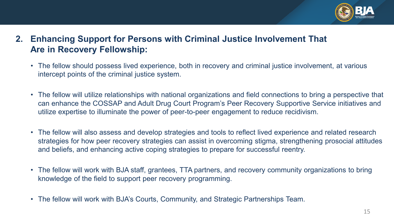

- **2. Enhancing Support for Persons with Criminal Justice Involvement That Are in Recovery Fellowship:**
	- The fellow should possess lived experience, both in recovery and criminal justice involvement, at various intercept points of the criminal justice system.
	- The fellow will utilize relationships with national organizations and field connections to bring a perspective that can enhance the COSSAP and Adult Drug Court Program's Peer Recovery Supportive Service initiatives and utilize expertise to illuminate the power of peer-to-peer engagement to reduce recidivism.
	- The fellow will also assess and develop strategies and tools to reflect lived experience and related research strategies for how peer recovery strategies can assist in overcoming stigma, strengthening prosocial attitudes and beliefs, and enhancing active coping strategies to prepare for successful reentry.
	- The fellow will work with BJA staff, grantees, TTA partners, and recovery community organizations to bring knowledge of the field to support peer recovery programming.
	- The fellow will work with BJA's Courts, Community, and Strategic Partnerships Team.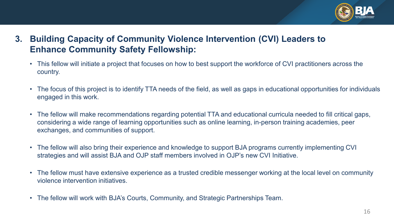

- **3. Building Capacity of Community Violence Intervention (CVI) Leaders to Enhance Community Safety Fellowship:**
	- This fellow will initiate a project that focuses on how to best support the workforce of CVI practitioners across the country.
	- The focus of this project is to identify TTA needs of the field, as well as gaps in educational opportunities for individuals engaged in this work.
	- The fellow will make recommendations regarding potential TTA and educational curricula needed to fill critical gaps, considering a wide range of learning opportunities such as online learning, in-person training academies, peer exchanges, and communities of support.
	- The fellow will also bring their experience and knowledge to support BJA programs currently implementing CVI strategies and will assist BJA and OJP staff members involved in OJP's new CVI Initiative.
	- The fellow must have extensive experience as a trusted credible messenger working at the local level on community violence intervention initiatives.
	- The fellow will work with BJA's Courts, Community, and Strategic Partnerships Team.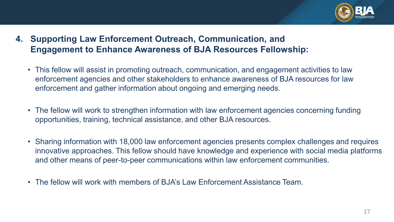

- **4. Supporting Law Enforcement Outreach, Communication, and Engagement to Enhance Awareness of BJA Resources Fellowship:**
	- This fellow will assist in promoting outreach, communication, and engagement activities to law enforcement agencies and other stakeholders to enhance awareness of BJA resources for law enforcement and gather information about ongoing and emerging needs.
	- The fellow will work to strengthen information with law enforcement agencies concerning funding opportunities, training, technical assistance, and other BJA resources.
	- Sharing information with 18,000 law enforcement agencies presents complex challenges and requires innovative approaches. This fellow should have knowledge and experience with social media platforms and other means of peer-to-peer communications within law enforcement communities.
	- The fellow will work with members of BJA's Law Enforcement Assistance Team.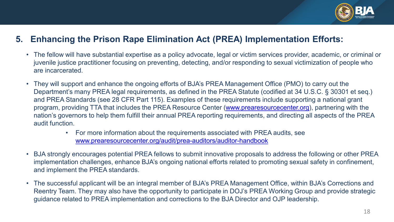

#### **5. Enhancing the Prison Rape Elimination Act (PREA) Implementation Efforts:**

- The fellow will have substantial expertise as a policy advocate, legal or victim services provider, academic, or criminal or juvenile justice practitioner focusing on preventing, detecting, and/or responding to sexual victimization of people who are incarcerated.
- They will support and enhance the ongoing efforts of BJA's PREA Management Office (PMO) to carry out the Department's many PREA legal requirements, as defined in the PREA Statute (codified at 34 U.S.C. § 30301 et seq.) and PREA Standards (see 28 CFR Part 115). Examples of these requirements include supporting a national grant program, providing TTA that includes the PREA Resource Center [\(www.prearesourcecenter.org\)](http://www.prearesourcecenter.org/), partnering with the nation's governors to help them fulfill their annual PREA reporting requirements, and directing all aspects of the PREA audit function.
	- For more information about the requirements associated with PREA audits, see [www.prearesourcecenter.org/audit/prea-auditors/auditor-handbook](http://www.prearesourcecenter.org/audit/prea-auditors/auditor-handbook)
- BJA strongly encourages potential PREA fellows to submit innovative proposals to address the following or other PREA implementation challenges, enhance BJA's ongoing national efforts related to promoting sexual safety in confinement, and implement the PREA standards.
- The successful applicant will be an integral member of BJA's PREA Management Office, within BJA's Corrections and Reentry Team. They may also have the opportunity to participate in DOJ's PREA Working Group and provide strategic guidance related to PREA implementation and corrections to the BJA Director and OJP leadership.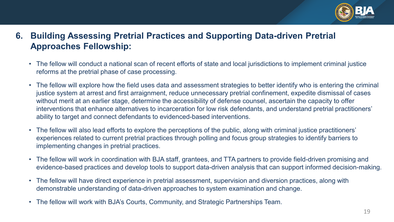

### **6. Building Assessing Pretrial Practices and Supporting Data-driven Pretrial Approaches Fellowship:**

- The fellow will conduct a national scan of recent efforts of state and local jurisdictions to implement criminal justice reforms at the pretrial phase of case processing.
- The fellow will explore how the field uses data and assessment strategies to better identify who is entering the criminal justice system at arrest and first arraignment, reduce unnecessary pretrial confinement, expedite dismissal of cases without merit at an earlier stage, determine the accessibility of defense counsel, ascertain the capacity to offer interventions that enhance alternatives to incarceration for low risk defendants, and understand pretrial practitioners' ability to target and connect defendants to evidenced-based interventions.
- The fellow will also lead efforts to explore the perceptions of the public, along with criminal justice practitioners' experiences related to current pretrial practices through polling and focus group strategies to identify barriers to implementing changes in pretrial practices.
- The fellow will work in coordination with BJA staff, grantees, and TTA partners to provide field-driven promising and evidence-based practices and develop tools to support data-driven analysis that can support informed decision-making.
- The fellow will have direct experience in pretrial assessment, supervision and diversion practices, along with demonstrable understanding of data-driven approaches to system examination and change.
- The fellow will work with BJA's Courts, Community, and Strategic Partnerships Team.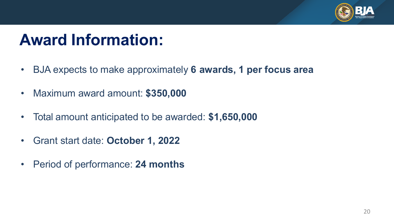

## **Award Information:**

- BJA expects to make approximately **6 awards, 1 per focus area**
- Maximum award amount: **\$350,000**
- Total amount anticipated to be awarded: **\$1,650,000**
- Grant start date: **October 1, 2022**
- Period of performance: **24 months**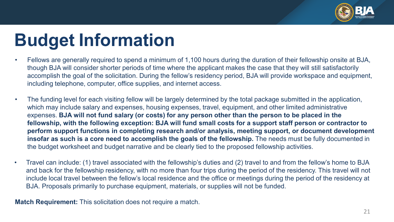

# **Budget Information**

- Fellows are generally required to spend a minimum of 1,100 hours during the duration of their fellowship onsite at BJA, though BJA will consider shorter periods of time where the applicant makes the case that they will still satisfactorily accomplish the goal of the solicitation. During the fellow's residency period, BJA will provide workspace and equipment, including telephone, computer, office supplies, and internet access.
- The funding level for each visiting fellow will be largely determined by the total package submitted in the application, which may include salary and expenses, housing expenses, travel, equipment, and other limited administrative expenses. **BJA will not fund salary (or costs) for any person other than the person to be placed in the fellowship, with the following exception: BJA will fund small costs for a support staff person or contractor to perform support functions in completing research and/or analysis, meeting support, or document development insofar as such is a core need to accomplish the goals of the fellowship.** The needs must be fully documented in the budget worksheet and budget narrative and be clearly tied to the proposed fellowship activities.
- Travel can include: (1) travel associated with the fellowship's duties and (2) travel to and from the fellow's home to BJA and back for the fellowship residency, with no more than four trips during the period of the residency. This travel will not include local travel between the fellow's local residence and the office or meetings during the period of the residency at BJA. Proposals primarily to purchase equipment, materials, or supplies will not be funded.

**Match Requirement:** This solicitation does not require a match.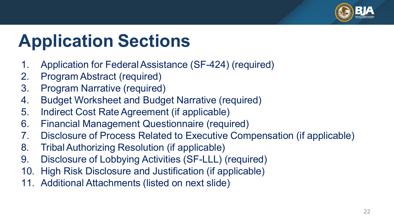

# **Application Sections**

- 1. Application for Federal Assistance (SF-424) (required)
- 2. Program Abstract (required)
- 3. Program Narrative (required)
- 4. Budget Worksheet and Budget Narrative (required)
- 5. Indirect Cost Rate Agreement (if applicable)
- 6. Financial Management Questionnaire (required)
- 7. Disclosure of Process Related to Executive Compensation (if applicable)
- 8. Tribal Authorizing Resolution (if applicable)
- 9. Disclosure of Lobbying Activities (SF-LLL) (required)
- 10. High Risk Disclosure and Justification (if applicable)
- 11. Additional Attachments (listed on next slide)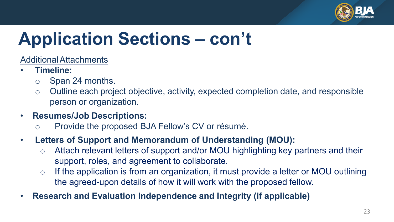

# **Application Sections – con't**

AdditionalAttachments

- **Timeline:**
	- o Span 24 months.
	- o Outline each project objective, activity, expected completion date, and responsible person or organization.
- **Resumes/Job Descriptions:**
	- Provide the proposed BJA Fellow's CV or résumé.

### • **Letters of Support and Memorandum of Understanding (MOU):**

- o Attach relevant letters of support and/or MOU highlighting key partners and their support, roles, and agreement to collaborate.
- $\circ$  If the application is from an organization, it must provide a letter or MOU outlining the agreed-upon details of how it will work with the proposed fellow.
- **Research and Evaluation Independence and Integrity (if applicable)**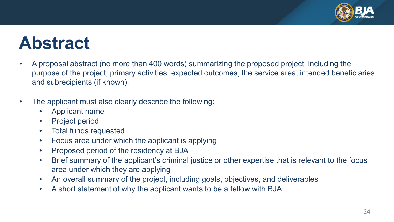

# **Abstract**

- A proposal abstract (no more than 400 words) summarizing the proposed project, including the purpose of the project, primary activities, expected outcomes, the service area, intended beneficiaries and subrecipients (if known).
- The applicant must also clearly describe the following:
	- Applicant name
	- Project period
	- Total funds requested
	- Focus area under which the applicant is applying
	- Proposed period of the residency at BJA
	- Brief summary of the applicant's criminal justice or other expertise that is relevant to the focus area under which they are applying
	- An overall summary of the project, including goals, objectives, and deliverables
	- A short statement of why the applicant wants to be a fellow with BJA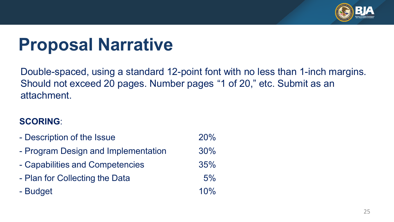

# **Proposal Narrative**

Double-spaced, using a standard 12-point font with no less than 1-inch margins. Should not exceed 20 pages. Number pages "1 of 20," etc. Submit as an attachment.

### **SCORING**:

- Description of the Issue 20% - Program Design and Implementation 30% - Capabilities and Competencies 35% - Plan for Collecting the Data 6% - Budget 10%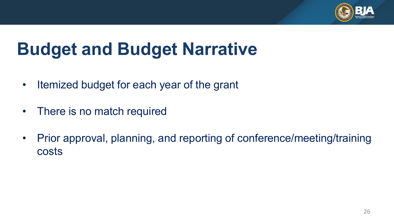

# **Budget and Budget Narrative**

- Itemized budget for each year of the grant
- There is no match required
- Prior approval, planning, and reporting of conference/meeting/training costs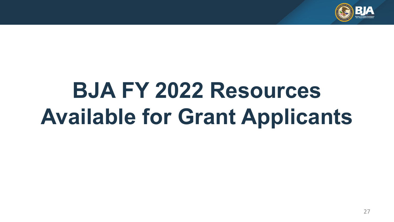

# **BJA FY 2022 Resources Available for Grant Applicants**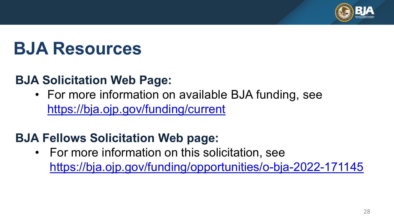

# **BJA Resources**

### **BJA Solicitation Web Page:**

• For more information on available BJA funding, see <https://bja.ojp.gov/funding/current>

### **BJA Fellows Solicitation Web page:**

• For more information on this solicitation, see <https://bja.ojp.gov/funding/opportunities/o-bja-2022-171145>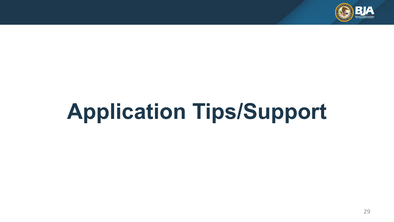

# **Application Tips/Support**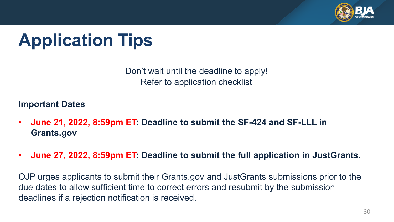

# **Application Tips**

Don't wait until the deadline to apply! Refer to application checklist

**Important Dates**

- **June 21, 2022, 8:59pm ET: Deadline to submit the SF-424 and SF-LLL in Grants.gov**
- **June 27, 2022, 8:59pm ET: Deadline to submit the full application in JustGrants**.

OJP urges applicants to submit their Grants.gov and JustGrants submissions prior to the due dates to allow sufficient time to correct errors and resubmit by the submission deadlines if a rejection notification is received.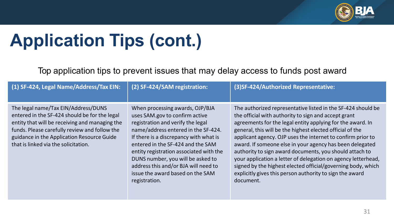

Top application tips to prevent issues that may delay access to funds post award

| (1) SF-424, Legal Name/Address/Tax EIN:                                                                                                                                                                                                                                       | (2) SF-424/SAM registration:                                                                                                                                                                                                                                                                                                                                                                              | (3) SF-424/Authorized Representative:                                                                                                                                                                                                                                                                                                                                                                                                                                                                                                                                                                                                           |
|-------------------------------------------------------------------------------------------------------------------------------------------------------------------------------------------------------------------------------------------------------------------------------|-----------------------------------------------------------------------------------------------------------------------------------------------------------------------------------------------------------------------------------------------------------------------------------------------------------------------------------------------------------------------------------------------------------|-------------------------------------------------------------------------------------------------------------------------------------------------------------------------------------------------------------------------------------------------------------------------------------------------------------------------------------------------------------------------------------------------------------------------------------------------------------------------------------------------------------------------------------------------------------------------------------------------------------------------------------------------|
| The legal name/Tax EIN/Address/DUNS<br>entered in the SF-424 should be for the legal<br>entity that will be receiving and managing the<br>funds. Please carefully review and follow the<br>guidance in the Application Resource Guide<br>that is linked via the solicitation. | When processing awards, OJP/BJA<br>uses SAM.gov to confirm active<br>registration and verify the legal<br>name/address entered in the SF-424.<br>If there is a discrepancy with what is<br>entered in the SF-424 and the SAM<br>entity registration associated with the<br>DUNS number, you will be asked to<br>address this and/or BJA will need to<br>issue the award based on the SAM<br>registration. | The authorized representative listed in the SF-424 should be<br>the official with authority to sign and accept grant<br>agreements for the legal entity applying for the award. In<br>general, this will be the highest elected official of the<br>applicant agency. OJP uses the internet to confirm prior to<br>award. If someone else in your agency has been delegated<br>authority to sign award documents, you should attach to<br>your application a letter of delegation on agency letterhead,<br>signed by the highest elected official/governing body, which<br>explicitly gives this person authority to sign the award<br>document. |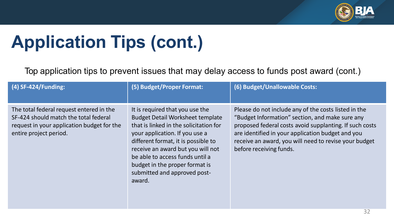

Top application tips to prevent issues that may delay access to funds post award (cont.)

| (4) SF-424/Funding:                                                                                                                                       | (5) Budget/Proper Format:                                                                                                                                                                                                                                                                                                                         | (6) Budget/Unallowable Costs:                                                                                                                                                                                                                                                                               |
|-----------------------------------------------------------------------------------------------------------------------------------------------------------|---------------------------------------------------------------------------------------------------------------------------------------------------------------------------------------------------------------------------------------------------------------------------------------------------------------------------------------------------|-------------------------------------------------------------------------------------------------------------------------------------------------------------------------------------------------------------------------------------------------------------------------------------------------------------|
| The total federal request entered in the<br>SF-424 should match the total federal<br>request in your application budget for the<br>entire project period. | It is required that you use the<br><b>Budget Detail Worksheet template</b><br>that is linked in the solicitation for<br>your application. If you use a<br>different format, it is possible to<br>receive an award but you will not<br>be able to access funds until a<br>budget in the proper format is<br>submitted and approved post-<br>award. | Please do not include any of the costs listed in the<br>"Budget Information" section, and make sure any<br>proposed federal costs avoid supplanting. If such costs<br>are identified in your application budget and you<br>receive an award, you will need to revise your budget<br>before receiving funds. |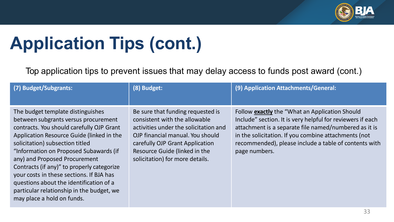

Top application tips to prevent issues that may delay access to funds post award (cont.)

| (7) Budget/Subgrants:                                                                                                                                                                                                                                                                                                                                                                                                                                                                             | (8) Budget:                                                                                                                                                                                                                                            | (9) Application Attachments/General:                                                                                                                                                                                                                                                                    |
|---------------------------------------------------------------------------------------------------------------------------------------------------------------------------------------------------------------------------------------------------------------------------------------------------------------------------------------------------------------------------------------------------------------------------------------------------------------------------------------------------|--------------------------------------------------------------------------------------------------------------------------------------------------------------------------------------------------------------------------------------------------------|---------------------------------------------------------------------------------------------------------------------------------------------------------------------------------------------------------------------------------------------------------------------------------------------------------|
|                                                                                                                                                                                                                                                                                                                                                                                                                                                                                                   |                                                                                                                                                                                                                                                        |                                                                                                                                                                                                                                                                                                         |
| The budget template distinguishes<br>between subgrants versus procurement<br>contracts. You should carefully OJP Grant<br>Application Resource Guide (linked in the<br>solicitation) subsection titled<br>"Information on Proposed Subawards (if<br>any) and Proposed Procurement<br>Contracts (if any)" to properly categorize<br>your costs in these sections. If BJA has<br>questions about the identification of a<br>particular relationship in the budget, we<br>may place a hold on funds. | Be sure that funding requested is<br>consistent with the allowable<br>activities under the solicitation and<br>OJP financial manual. You should<br>carefully OJP Grant Application<br>Resource Guide (linked in the<br>solicitation) for more details. | Follow exactly the "What an Application Should<br>Include" section. It is very helpful for reviewers if each<br>attachment is a separate file named/numbered as it is<br>in the solicitation. If you combine attachments (not<br>recommended), please include a table of contents with<br>page numbers. |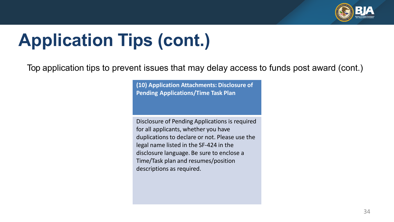

Top application tips to prevent issues that may delay access to funds post award (cont.)

**(10) Application Attachments: Disclosure of Pending Applications/Time Task Plan**

Disclosure of Pending Applications is required for all applicants, whether you have duplications to declare or not. Please use the legal name listed in the SF-424 in the disclosure language. Be sure to enclose a Time/Task plan and resumes/position descriptions as required.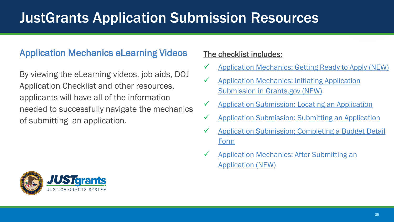## JustGrants Application Submission Resources

### [Application Mechanics eLearning Videos](https://justicegrants.usdoj.gov/training/training-application-submission)

By viewing the eLearning videos, job aids, DOJ Application Checklist and other resources, applicants will have all of the information needed to successfully navigate the mechanics of submitting an application.

#### The checklist includes:

- [Application Mechanics: Getting Ready to Apply \(NEW\)](https://youtu.be/ITtDiVOOO_o)
- $\checkmark$  Application Mechanics: Initiating Application Submission in Grants.gov (NEW)
- [Application Submission: Locating an Application](https://youtu.be/2UqzPqUegv4)
- [Application Submission: Submitting an Application](https://youtu.be/_56sxZBdEW8)
- $\checkmark$  Application Submission: Completing a Budget Detail Form
- [Application Mechanics: After Submitting an](https://youtu.be/PTaNT9bEa6g)  Application (NEW)

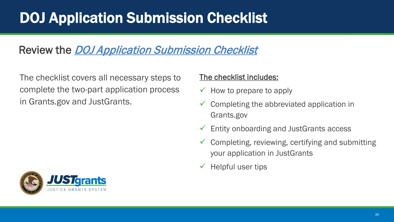## DOJ Application Submission Checklist

### Review the [DOJ Application Submission Checklist](https://justicegrants.usdoj.gov/sites/g/files/xyckuh296/files/media/document/appln-submission-checklist.pdf)

The checklist covers all necessary steps to complete the two-part application process in Grants.gov and JustGrants.

#### The checklist includes:

- $\checkmark$  How to prepare to apply
- $\checkmark$  Completing the abbreviated application in Grants.gov
- Entity onboarding and JustGrants access
- Completing, reviewing, certifying and submitting your application in JustGrants
- Helpful user tips

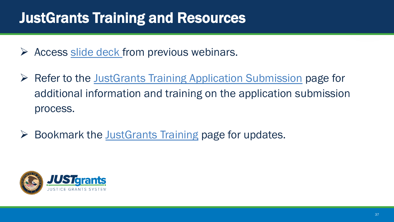## JustGrants Training and Resources

- $\triangleright$  Access [slide deck](https://justicegrants.usdoj.gov/sites/g/files/xyckuh296/files/media/document/app-mech-slide-deck.pdf) from previous webinars.
- $\triangleright$  Refer to the JustGrants [Training Application Submission](https://justicegrants.usdoj.gov/training-resources/justgrants-training/application-submission#y9juqd) page for additional information and training on the application submission process.
- $\triangleright$  Bookmark the [JustGrants](https://justicegrants.usdoj.gov/training-resources/justgrants-training/grants-management-lifecycle) Training page for updates.

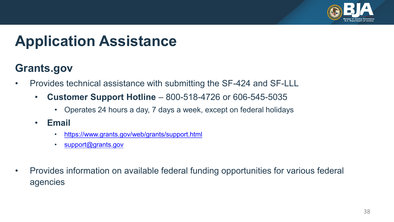

## **Application Assistance**

### **Grants.gov**

- Provides technical assistance with submitting the SF-424 and SF-LLL
	- **Customer Support Hotline**  800-518-4726 or 606-545-5035
		- Operates 24 hours a day, 7 days a week, except on federal holidays
	- **Email** 
		- <https://www.grants.gov/web/grants/support.html>
		- [support@grants.gov](mailto:support@grants.gov)
- Provides information on available federal funding opportunities for various federal agencies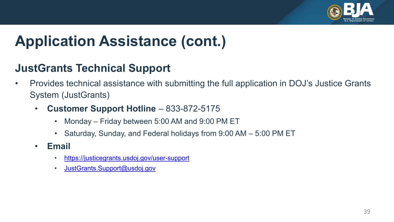

## **Application Assistance (cont.)**

### **JustGrants Technical Support**

- Provides technical assistance with submitting the full application in DOJ's Justice Grants System (JustGrants)
	- **Customer Support Hotline**  833-872-5175
		- Monday Friday between 5:00 AM and 9:00 PM ET
		- Saturday, Sunday, and Federal holidays from 9:00 AM 5:00 PM ET
	- **Email** 
		- https://justicegrants.usdoj.gov/user-support
		- JustGrants.Support@usdoj.gov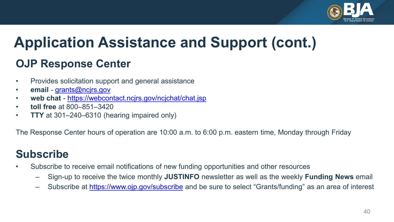

## **Application Assistance and Support (cont.)**

### **OJP Response Center**

- Provides solicitation support and general assistance
- **email** [grants@ncjrs.gov](mailto:grants@ncjrs.gov)
- **web chat**  <https://webcontact.ncjrs.gov/ncjchat/chat.jsp>
- **toll free** at 800–851–3420
- **TTY** at 301–240–6310 (hearing impaired only)

The Response Center hours of operation are 10:00 a.m. to 6:00 p.m. eastern time, Monday through Friday

### **Subscribe**

- Subscribe to receive email notifications of new funding opportunities and other resources
	- Sign-up to receive the twice monthly **JUSTINFO** newsletter as well as the weekly **Funding News** email
	- Subscribe at<https://www.ojp.gov/subscribe> and be sure to select "Grants/funding" as an area of interest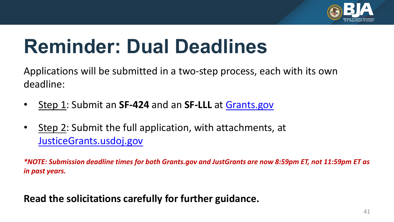

# **Reminder: Dual Deadlines**

Applications will be submitted in a two-step process, each with its own deadline:

- Step 1: Submit an **SF-424** and an **SF-LLL** at [Grants.gov](https://www.grants.gov/)
- Step 2: Submit the full application, with attachments, at [JusticeGrants.usdoj.gov](https://justicegrants.usdoj.gov/)

*\*NOTE: Submission deadline times for both Grants.gov and JustGrants are now 8:59pm ET, not 11:59pm ET as in past years.* 

**Read the solicitations carefully for further guidance.**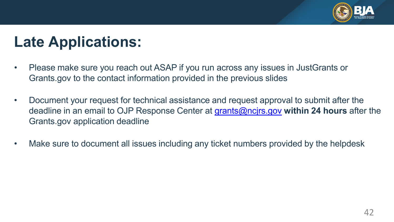

## **Late Applications:**

- Please make sure you reach out ASAP if you run across any issues in JustGrants or Grants.gov to the contact information provided in the previous slides
- Document your request for technical assistance and request approval to submit after the deadline in an email to OJP Response Center at [grants@ncjrs.gov](mailto:grants@ncjrs.gov) **within 24 hours** after the Grants.gov application deadline
- Make sure to document all issues including any ticket numbers provided by the helpdesk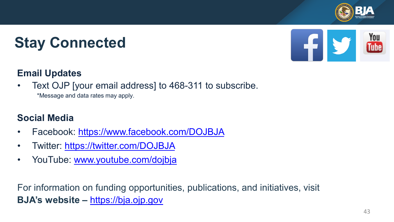

## **Stay Connected**



### **Email Updates**

• Text OJP [your email address] to 468-311 to subscribe.

\*Message and data rates may apply.

### **Social Media**

- Facebook: <https://www.facebook.com/DOJBJA>
- Twitter:<https://twitter.com/DOJBJA>
- YouTube: [www.youtube.com/dojbja](http://www.youtube.com/dojbja)

For information on funding opportunities, publications, and initiatives, visit **BJA's website –** [https://bja.ojp.gov](https://bja.ojp.gov/)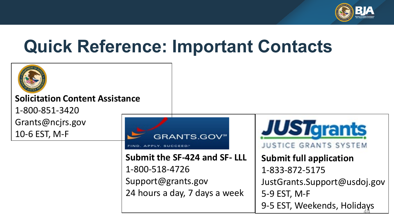

## **Quick Reference: Important Contacts**